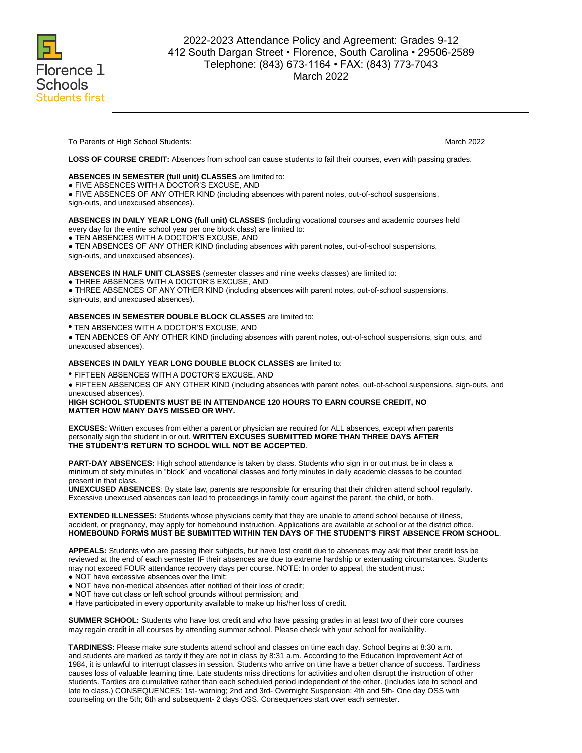

To Parents of High School Students: March 2022 **March 2022** 

**LOSS OF COURSE CREDIT:** Absences from school can cause students to fail their courses, even with passing grades.

# **ABSENCES IN SEMESTER (full unit) CLASSES** are limited to:

● FIVE ABSENCES WITH A DOCTOR'S EXCUSE, AND

● FIVE ABSENCES OF ANY OTHER KIND (including absences with parent notes, out-of-school suspensions,

sign-outs, and unexcused absences).

#### **ABSENCES IN DAILY YEAR LONG (full unit) CLASSES** (including vocational courses and academic courses held every day for the entire school year per one block class) are limited to:

● TEN ABSENCES WITH A DOCTOR'S EXCUSE, AND

● TEN ABSENCES OF ANY OTHER KIND (including absences with parent notes, out-of-school suspensions,

sign-outs, and unexcused absences).

#### **ABSENCES IN HALF UNIT CLASSES** (semester classes and nine weeks classes) are limited to:

● THREE ABSENCES WITH A DOCTOR'S EXCUSE, AND

● THREE ABSENCES OF ANY OTHER KIND (including absences with parent notes, out-of-school suspensions, sign-outs, and unexcused absences).

# **ABSENCES IN SEMESTER DOUBLE BLOCK CLASSES** are limited to:

**•** TEN ABSENCES WITH A DOCTOR'S EXCUSE, AND

● TEN ABENCES OF ANY OTHER KIND (including absences with parent notes, out-of-school suspensions, sign outs, and unexcused absences).

#### **ABSENCES IN DAILY YEAR LONG DOUBLE BLOCK CLASSES** are limited to:

• FIFTEEN ABSENCES WITH A DOCTOR'S EXCUSE, AND

● FIFTEEN ABSENCES OF ANY OTHER KIND (including absences with parent notes, out-of-school suspensions, sign-outs, and unexcused absences).

# **HIGH SCHOOL STUDENTS MUST BE IN ATTENDANCE 120 HOURS TO EARN COURSE CREDIT, NO MATTER HOW MANY DAYS MISSED OR WHY.**

**EXCUSES:** Written excuses from either a parent or physician are required for ALL absences, except when parents personally sign the student in or out. **WRITTEN EXCUSES SUBMITTED MORE THAN THREE DAYS AFTER THE STUDENT'S RETURN TO SCHOOL WILL NOT BE ACCEPTED**.

**PART-DAY ABSENCES:** High school attendance is taken by class. Students who sign in or out must be in class a minimum of sixty minutes in "block" and vocational classes and forty minutes in daily academic classes to be counted present in that class.

**UNEXCUSED ABSENCES**: By state law, parents are responsible for ensuring that their children attend school regularly. Excessive unexcused absences can lead to proceedings in family court against the parent, the child, or both.

**EXTENDED ILLNESSES:** Students whose physicians certify that they are unable to attend school because of illness, accident, or pregnancy, may apply for homebound instruction. Applications are available at school or at the district office. **HOMEBOUND FORMS MUST BE SUBMITTED WITHIN TEN DAYS OF THE STUDENT'S FIRST ABSENCE FROM SCHOOL**.

**APPEALS:** Students who are passing their subjects, but have lost credit due to absences may ask that their credit loss be reviewed at the end of each semester IF their absences are due to extreme hardship or extenuating circumstances. Students may not exceed FOUR attendance recovery days per course. NOTE: In order to appeal, the student must:

- NOT have excessive absences over the limit;
- NOT have non-medical absences after notified of their loss of credit;
- NOT have cut class or left school grounds without permission; and
- Have participated in every opportunity available to make up his/her loss of credit.

**SUMMER SCHOOL:** Students who have lost credit and who have passing grades in at least two of their core courses may regain credit in all courses by attending summer school. Please check with your school for availability.

**TARDINESS:** Please make sure students attend school and classes on time each day. School begins at 8:30 a.m. and students are marked as tardy if they are not in class by 8:31 a.m. According to the Education Improvement Act of 1984, it is unlawful to interrupt classes in session. Students who arrive on time have a better chance of success. Tardiness causes loss of valuable learning time. Late students miss directions for activities and often disrupt the instruction of other students. Tardies are cumulative rather than each scheduled period independent of the other. (Includes late to school and late to class.) CONSEQUENCES: 1st- warning; 2nd and 3rd- Overnight Suspension; 4th and 5th- One day OSS with counseling on the 5th; 6th and subsequent- 2 days OSS. Consequences start over each semester.